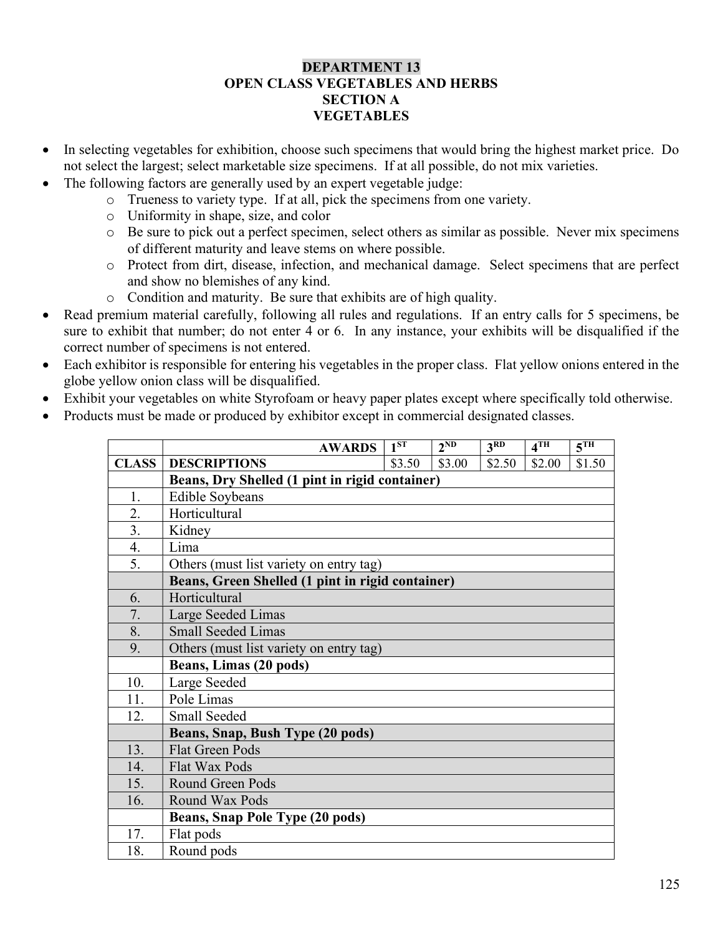#### DEPARTMENT 13 OPEN CLASS VEGETABLES AND HERBS SECTION A **VEGETABLES**

- In selecting vegetables for exhibition, choose such specimens that would bring the highest market price. Do not select the largest; select marketable size specimens. If at all possible, do not mix varieties.
- The following factors are generally used by an expert vegetable judge:
	- o Trueness to variety type. If at all, pick the specimens from one variety.
	- o Uniformity in shape, size, and color
	- o Be sure to pick out a perfect specimen, select others as similar as possible. Never mix specimens of different maturity and leave stems on where possible.
	- o Protect from dirt, disease, infection, and mechanical damage. Select specimens that are perfect and show no blemishes of any kind.
	- o Condition and maturity. Be sure that exhibits are of high quality.
- Read premium material carefully, following all rules and regulations. If an entry calls for 5 specimens, be sure to exhibit that number; do not enter 4 or 6. In any instance, your exhibits will be disqualified if the correct number of specimens is not entered.
- Each exhibitor is responsible for entering his vegetables in the proper class. Flat yellow onions entered in the globe yellow onion class will be disqualified.
- Exhibit your vegetables on white Styrofoam or heavy paper plates except where specifically told otherwise.
- Products must be made or produced by exhibitor except in commercial designated classes.

|              | <b>AWARDS</b>                                    | 1 <sup>ST</sup> | $2^{ND}$ | 3 <sup>RD</sup> | 4TH    | $\overline{5^{TH}}$ |
|--------------|--------------------------------------------------|-----------------|----------|-----------------|--------|---------------------|
| <b>CLASS</b> | <b>DESCRIPTIONS</b>                              | \$3.50          | \$3.00   | \$2.50          | \$2.00 | \$1.50              |
|              | Beans, Dry Shelled (1 pint in rigid container)   |                 |          |                 |        |                     |
| 1.           | <b>Edible Soybeans</b>                           |                 |          |                 |        |                     |
| 2.           | Horticultural                                    |                 |          |                 |        |                     |
| 3.           | Kidney                                           |                 |          |                 |        |                     |
| 4.           | Lima                                             |                 |          |                 |        |                     |
| 5.           | Others (must list variety on entry tag)          |                 |          |                 |        |                     |
|              | Beans, Green Shelled (1 pint in rigid container) |                 |          |                 |        |                     |
| 6.           | Horticultural                                    |                 |          |                 |        |                     |
| 7.           | Large Seeded Limas                               |                 |          |                 |        |                     |
| 8.           | <b>Small Seeded Limas</b>                        |                 |          |                 |        |                     |
| 9.           | Others (must list variety on entry tag)          |                 |          |                 |        |                     |
|              | Beans, Limas (20 pods)                           |                 |          |                 |        |                     |
| 10.          | Large Seeded                                     |                 |          |                 |        |                     |
| 11.          | Pole Limas                                       |                 |          |                 |        |                     |
| 12.          | <b>Small Seeded</b>                              |                 |          |                 |        |                     |
|              | Beans, Snap, Bush Type (20 pods)                 |                 |          |                 |        |                     |
| 13.          | <b>Flat Green Pods</b>                           |                 |          |                 |        |                     |
| 14.          | <b>Flat Wax Pods</b>                             |                 |          |                 |        |                     |
| 15.          | <b>Round Green Pods</b>                          |                 |          |                 |        |                     |
| 16.          | Round Wax Pods                                   |                 |          |                 |        |                     |
|              | <b>Beans, Snap Pole Type (20 pods)</b>           |                 |          |                 |        |                     |
| 17.          | Flat pods                                        |                 |          |                 |        |                     |
| 18.          | Round pods                                       |                 |          |                 |        |                     |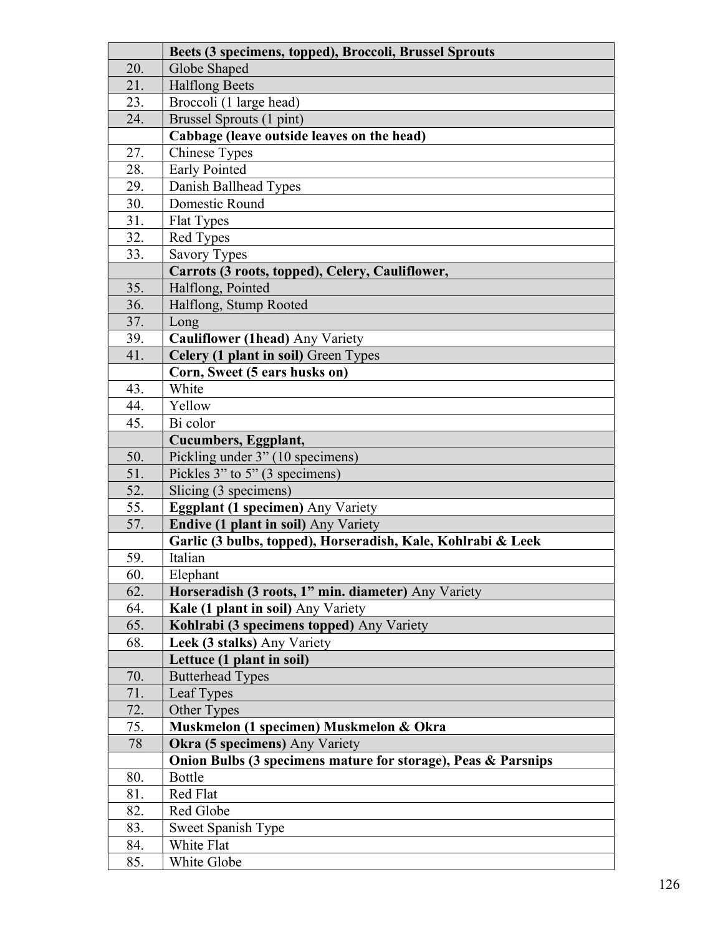|            | Beets (3 specimens, topped), Broccoli, Brussel Sprouts        |  |  |  |  |
|------------|---------------------------------------------------------------|--|--|--|--|
| 20.        | Globe Shaped                                                  |  |  |  |  |
| 21.        | <b>Halflong Beets</b>                                         |  |  |  |  |
| 23.        | Broccoli (1 large head)                                       |  |  |  |  |
| 24.        | Brussel Sprouts (1 pint)                                      |  |  |  |  |
|            | Cabbage (leave outside leaves on the head)                    |  |  |  |  |
| 27.        | <b>Chinese Types</b>                                          |  |  |  |  |
| 28.        | <b>Early Pointed</b>                                          |  |  |  |  |
| 29.        | Danish Ballhead Types                                         |  |  |  |  |
| 30.        | Domestic Round                                                |  |  |  |  |
| 31.        | <b>Flat Types</b>                                             |  |  |  |  |
| 32.        | Red Types                                                     |  |  |  |  |
| 33.        | <b>Savory Types</b>                                           |  |  |  |  |
|            | Carrots (3 roots, topped), Celery, Cauliflower,               |  |  |  |  |
| 35.        | Halflong, Pointed                                             |  |  |  |  |
| 36.        | Halflong, Stump Rooted                                        |  |  |  |  |
| 37.        | Long                                                          |  |  |  |  |
| 39.        | Cauliflower (1head) Any Variety                               |  |  |  |  |
| 41.        | Celery (1 plant in soil) Green Types                          |  |  |  |  |
|            | Corn, Sweet (5 ears husks on)                                 |  |  |  |  |
| 43.        | White                                                         |  |  |  |  |
| 44.        | Yellow                                                        |  |  |  |  |
| 45.        | Bi color                                                      |  |  |  |  |
|            | Cucumbers, Eggplant,                                          |  |  |  |  |
| 50.        | Pickling under 3" (10 specimens)                              |  |  |  |  |
| 51.        | Pickles 3" to 5" (3 specimens)                                |  |  |  |  |
| 52.        | Slicing (3 specimens)                                         |  |  |  |  |
| 55.        | <b>Eggplant (1 specimen)</b> Any Variety                      |  |  |  |  |
| 57.        | <b>Endive (1 plant in soil)</b> Any Variety                   |  |  |  |  |
|            | Garlic (3 bulbs, topped), Horseradish, Kale, Kohlrabi & Leek  |  |  |  |  |
| 59.        | Italian                                                       |  |  |  |  |
| 60.        | Elephant                                                      |  |  |  |  |
| 62.        | Horseradish (3 roots, 1" min. diameter) Any Variety           |  |  |  |  |
| 64.        | Kale (1 plant in soil) Any Variety                            |  |  |  |  |
| 65.<br>68. | Kohlrabi (3 specimens topped) Any Variety                     |  |  |  |  |
|            | Leek (3 stalks) Any Variety<br>Lettuce (1 plant in soil)      |  |  |  |  |
| 70.        | <b>Butterhead Types</b>                                       |  |  |  |  |
| 71.        | Leaf Types                                                    |  |  |  |  |
| 72.        | Other Types                                                   |  |  |  |  |
| 75.        | Muskmelon (1 specimen) Muskmelon & Okra                       |  |  |  |  |
| 78         | Okra (5 specimens) Any Variety                                |  |  |  |  |
|            | Onion Bulbs (3 specimens mature for storage), Peas & Parsnips |  |  |  |  |
| 80.        | Bottle                                                        |  |  |  |  |
| 81.        | Red Flat                                                      |  |  |  |  |
| 82.        | Red Globe                                                     |  |  |  |  |
| 83.        | Sweet Spanish Type                                            |  |  |  |  |
| 84.        | White Flat                                                    |  |  |  |  |
| 85.        | White Globe                                                   |  |  |  |  |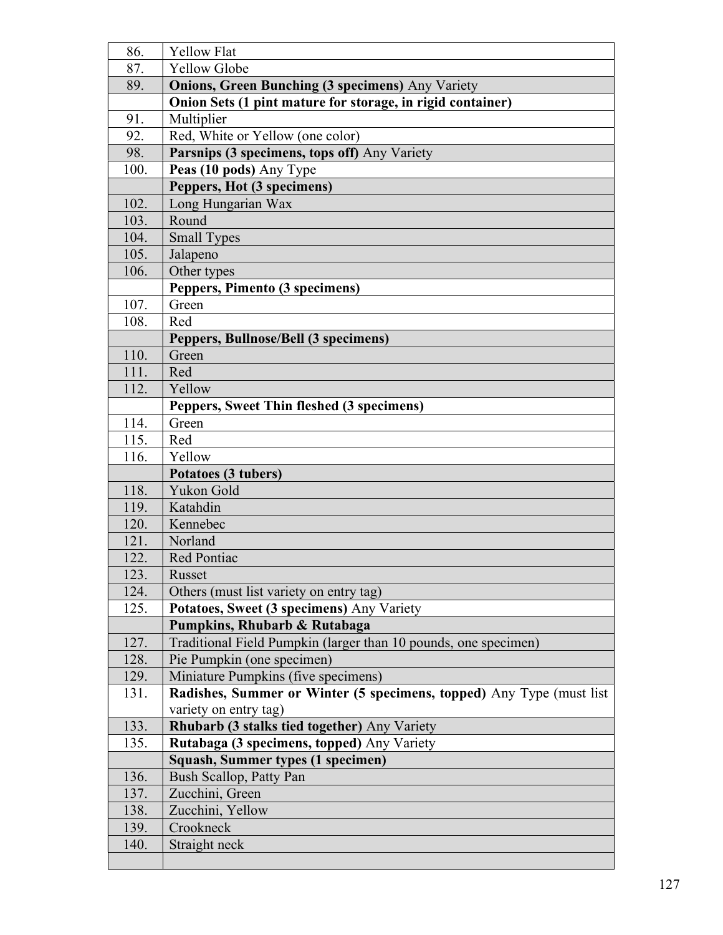| 86.  | <b>Yellow Flat</b>                                                                              |  |  |  |  |
|------|-------------------------------------------------------------------------------------------------|--|--|--|--|
| 87.  | <b>Yellow Globe</b>                                                                             |  |  |  |  |
| 89.  | <b>Onions, Green Bunching (3 specimens)</b> Any Variety                                         |  |  |  |  |
|      | Onion Sets (1 pint mature for storage, in rigid container)                                      |  |  |  |  |
| 91.  | Multiplier                                                                                      |  |  |  |  |
| 92.  | Red, White or Yellow (one color)                                                                |  |  |  |  |
| 98.  | Parsnips (3 specimens, tops off) Any Variety                                                    |  |  |  |  |
| 100. | Peas (10 pods) Any Type                                                                         |  |  |  |  |
|      | Peppers, Hot (3 specimens)                                                                      |  |  |  |  |
| 102. | Long Hungarian Wax                                                                              |  |  |  |  |
| 103. | Round                                                                                           |  |  |  |  |
| 104. | <b>Small Types</b>                                                                              |  |  |  |  |
| 105. | Jalapeno                                                                                        |  |  |  |  |
| 106. | Other types                                                                                     |  |  |  |  |
|      | Peppers, Pimento (3 specimens)                                                                  |  |  |  |  |
| 107. | Green                                                                                           |  |  |  |  |
| 108. | Red                                                                                             |  |  |  |  |
|      | Peppers, Bullnose/Bell (3 specimens)                                                            |  |  |  |  |
| 110. | Green                                                                                           |  |  |  |  |
| 111. | Red                                                                                             |  |  |  |  |
| 112. | Yellow                                                                                          |  |  |  |  |
|      | Peppers, Sweet Thin fleshed (3 specimens)                                                       |  |  |  |  |
| 114. | Green                                                                                           |  |  |  |  |
| 115. | Red                                                                                             |  |  |  |  |
| 116. | Yellow                                                                                          |  |  |  |  |
|      | Potatoes (3 tubers)                                                                             |  |  |  |  |
| 118. | Yukon Gold                                                                                      |  |  |  |  |
| 119. | Katahdin                                                                                        |  |  |  |  |
| 120. | Kennebec                                                                                        |  |  |  |  |
| 121. | Norland                                                                                         |  |  |  |  |
| 122. | Red Pontiac                                                                                     |  |  |  |  |
| 123. | Russet                                                                                          |  |  |  |  |
| 124. | Others (must list variety on entry tag)                                                         |  |  |  |  |
| 125. | Potatoes, Sweet (3 specimens) Any Variety                                                       |  |  |  |  |
| 127. | Pumpkins, Rhubarb & Rutabaga<br>Traditional Field Pumpkin (larger than 10 pounds, one specimen) |  |  |  |  |
| 128. | Pie Pumpkin (one specimen)                                                                      |  |  |  |  |
| 129. | Miniature Pumpkins (five specimens)                                                             |  |  |  |  |
| 131. | Radishes, Summer or Winter (5 specimens, topped) Any Type (must list                            |  |  |  |  |
|      | variety on entry tag)                                                                           |  |  |  |  |
| 133. | Rhubarb (3 stalks tied together) Any Variety                                                    |  |  |  |  |
| 135. | Rutabaga (3 specimens, topped) Any Variety                                                      |  |  |  |  |
|      | Squash, Summer types (1 specimen)                                                               |  |  |  |  |
| 136. | Bush Scallop, Patty Pan                                                                         |  |  |  |  |
| 137. | Zucchini, Green                                                                                 |  |  |  |  |
| 138. | Zucchini, Yellow                                                                                |  |  |  |  |
| 139. | Crookneck                                                                                       |  |  |  |  |
| 140. | Straight neck                                                                                   |  |  |  |  |
|      |                                                                                                 |  |  |  |  |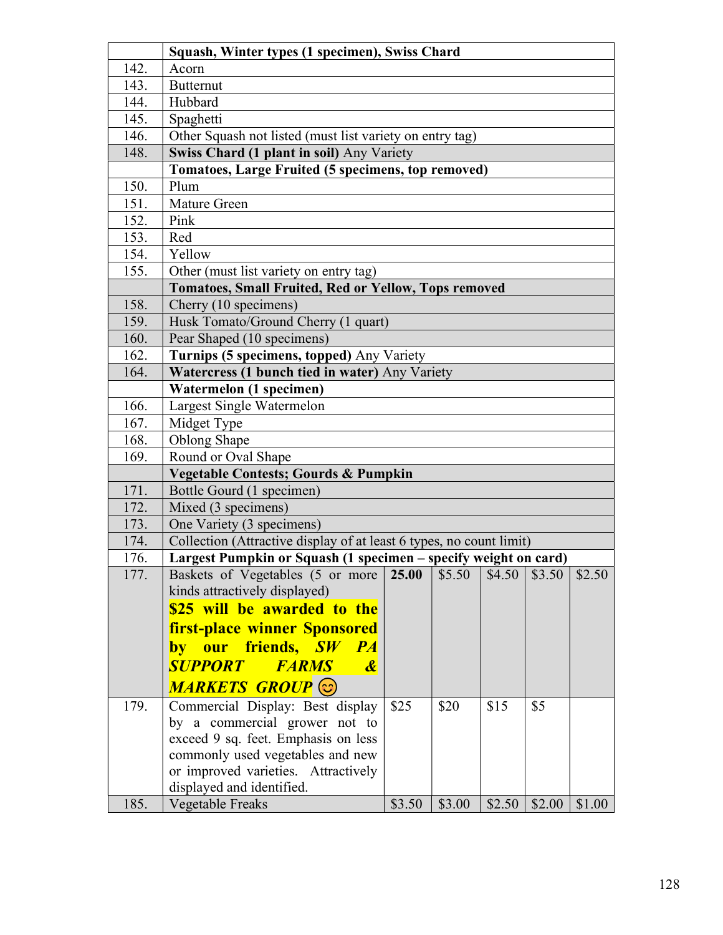|      | Squash, Winter types (1 specimen), Swiss Chard                      |        |        |        |        |        |
|------|---------------------------------------------------------------------|--------|--------|--------|--------|--------|
| 142. | Acorn                                                               |        |        |        |        |        |
| 143. | <b>Butternut</b>                                                    |        |        |        |        |        |
| 144. | Hubbard                                                             |        |        |        |        |        |
| 145. | Spaghetti                                                           |        |        |        |        |        |
| 146. | Other Squash not listed (must list variety on entry tag)            |        |        |        |        |        |
| 148. | Swiss Chard (1 plant in soil) Any Variety                           |        |        |        |        |        |
|      | Tomatoes, Large Fruited (5 specimens, top removed)                  |        |        |        |        |        |
| 150. | Plum                                                                |        |        |        |        |        |
| 151. | Mature Green                                                        |        |        |        |        |        |
| 152. | Pink                                                                |        |        |        |        |        |
| 153. | Red                                                                 |        |        |        |        |        |
| 154. | Yellow                                                              |        |        |        |        |        |
| 155. | Other (must list variety on entry tag)                              |        |        |        |        |        |
|      | <b>Tomatoes, Small Fruited, Red or Yellow, Tops removed</b>         |        |        |        |        |        |
| 158. | Cherry (10 specimens)                                               |        |        |        |        |        |
| 159. | Husk Tomato/Ground Cherry (1 quart)                                 |        |        |        |        |        |
| 160. | Pear Shaped (10 specimens)                                          |        |        |        |        |        |
| 162. | Turnips (5 specimens, topped) Any Variety                           |        |        |        |        |        |
| 164. | Watercress (1 bunch tied in water) Any Variety                      |        |        |        |        |        |
|      | Watermelon (1 specimen)                                             |        |        |        |        |        |
| 166. | Largest Single Watermelon                                           |        |        |        |        |        |
| 167. | Midget Type                                                         |        |        |        |        |        |
| 168. | Oblong Shape                                                        |        |        |        |        |        |
| 169. | Round or Oval Shape                                                 |        |        |        |        |        |
|      | <b>Vegetable Contests; Gourds &amp; Pumpkin</b>                     |        |        |        |        |        |
| 171. | Bottle Gourd (1 specimen)                                           |        |        |        |        |        |
| 172. | Mixed (3 specimens)                                                 |        |        |        |        |        |
| 173. | One Variety (3 specimens)                                           |        |        |        |        |        |
| 174. | Collection (Attractive display of at least 6 types, no count limit) |        |        |        |        |        |
| 176. | Largest Pumpkin or Squash (1 specimen - specify weight on card)     |        |        |        |        |        |
| 177. | Baskets of Vegetables (5 or more                                    | 25.00  | \$5.50 | \$4.50 | \$3.50 | \$2.50 |
|      | kinds attractively displayed)                                       |        |        |        |        |        |
|      | \$25 will be awarded to the                                         |        |        |        |        |        |
|      | <b>first-place winner Sponsored</b>                                 |        |        |        |        |        |
|      | by our friends, SW PA                                               |        |        |        |        |        |
|      | <b>SUPPORT</b><br><b>FARMS</b><br>$\boldsymbol{\mathcal{X}}$        |        |        |        |        |        |
|      | MARKETS GROUP <sup>(</sup> C)                                       |        |        |        |        |        |
| 179. | Commercial Display: Best display                                    | \$25   | \$20   | \$15   | \$5    |        |
|      | by a commercial grower not to                                       |        |        |        |        |        |
|      | exceed 9 sq. feet. Emphasis on less                                 |        |        |        |        |        |
|      | commonly used vegetables and new                                    |        |        |        |        |        |
|      | or improved varieties. Attractively                                 |        |        |        |        |        |
|      | displayed and identified.                                           |        |        |        |        |        |
| 185. | Vegetable Freaks                                                    | \$3.50 | \$3.00 | \$2.50 | \$2.00 | \$1.00 |